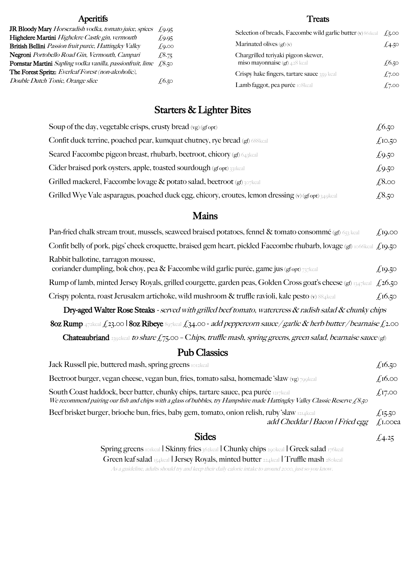# Aperitifs

#### **Treats**

| <b>JR Bloody Mary</b> Horseradish vodka, tomato juice, spices    | £9.95         | Selection of breads, Faccombe wild garlic butter $(v)$ 86 kcal $f$ , 5.00 |        |
|------------------------------------------------------------------|---------------|---------------------------------------------------------------------------|--------|
| Highclere Martini Highclere Castle gin, vermouth                 | $\sqrt{0.95}$ |                                                                           |        |
| British Bellini Passion fruit purée, Hattingley Valley           | $f_{0.00}$    | Marinated olives $(gf)(v)$                                                | 1.4.50 |
| Negroni Portobello Road Gin, Vermouth, Campari                   | $\sqrt{2.75}$ | Chargrilled teriyaki pigeon skewer,                                       |        |
| Pornstar Martini Sapling vodka vanilla, passionfruit, lime £8.50 |               | miso mayonnaise (gf) $428$ kcal                                           | 4,6.50 |
| The Forest Spritz: Everleaf Forest (non-alcoholic),              |               | Crispy hake fingers, tartare sauce 359 keal                               | f7.00  |
| Double Dutch Tonic, Orange slice                                 | £6.50         | Lamb faggot, pea purée ro8kcal                                            | 1,7.00 |

# Starters & Lighter Bites

| Soup of the day, vegetable crisps, crusty bread $(vg)(gfor)$                                                        | $\sqrt{6.50}$   |
|---------------------------------------------------------------------------------------------------------------------|-----------------|
| Confit duck terrine, poached pear, kumquat chutney, rye bread (gf) 688kcal                                          | $f_{10.50}$     |
| Seared Faccombe pigeon breast, rhubarb, beetroot, chicory (gf) 643kcal                                              | £9.50           |
| Cider braised pork oysters, apple, toasted sourdough (gfopt) 331kcal                                                | £9.50           |
| Grilled mackerel, Faccombe lovage & potato salad, beetroot (gf) 307 kcal                                            | $f_{\cdot}8.00$ |
| Grilled Wye Vale asparagus, poached duck egg, chicory, croutes, lemon dressing $\langle v \rangle$ (gfopt) 349 kcal | $£8.5^\circ$    |

#### Mains

| Pan-fried chalk stream trout, mussels, seaweed braised potatoes, fennel & tomato consommé (gf) 653 kcal                               | £I9.00         |
|---------------------------------------------------------------------------------------------------------------------------------------|----------------|
| Confit belly of pork, pigs' cheek croquette, braised gem heart, pickled Faccombe rhubarb, lovage (gf) 1066kcal £19.50                 |                |
| Rabbit ballotine, tarragon mousse,<br>coriander dumpling, bok choy, pea & Faccombe wild garlic purée, game jus $(gf\circ pt)$ 737kcal | $\sqrt{19.50}$ |
| Rump of lamb, minted Jersey Royals, grilled courgette, garden peas, Golden Cross goat's cheese (gf) 1347 kcal                         | $f_{.26,50}$   |
| Crispy polenta, roast Jerusalem artichoke, wild mushroom & truffle ravioli, kale pesto (v) 884 kcal                                   | $f_{,16,50}$   |
| Dry-aged Walter Rose Steaks - served with grilled beef tomato, watercress $\&$ radish salad $\&$ chunky chips                         |                |

8oz Rump 472kcal £23.00 | 8oz Ribeye 897kcal £34.00 - add peppercorn sauce / garlic & herb butter / bearnaise £2.00 Chateaubriand 2392kcal to share £75.00 - Chips, truffle mash, spring greens, green salad, bearnaise sauce (gf)

# Pub Classics

| Jack Russell pie, buttered mash, spring greens romakeal                                                                                                                                                                 | $\sqrt{.16.50}$                      |
|-------------------------------------------------------------------------------------------------------------------------------------------------------------------------------------------------------------------------|--------------------------------------|
| Beetroot burger, vegan cheese, vegan bun, fries, tomato salsa, homemade 'slaw (vg) $\tau$ 99kcal                                                                                                                        | $f_{\rm d}16.00$                     |
| South Coast haddock, beer batter, chunky chips, tartare sauce, pea purée <b>Explical</b><br>We recommend pairing our fish and chips with a glass of bubbles, try Hampshire made Hattingley Valley Classic Reserve £8.50 | $f_{,}I7.00$                         |
| Beef brisket burger, brioche bun, fries, baby gem, tomato, onion relish, ruby 'slaw 1214kcal<br>add Cheddar   Bacon   Fried egg                                                                                         | $\sqrt{15.5}$<br>$f_{\rm I. O O}$ ca |
| <b>Sides</b>                                                                                                                                                                                                            | $\cancel{1}$ .25                     |
| Spring greens rorkeal Skinny fries 362keal   Chunky chips 290keal   Greek salad 176keal                                                                                                                                 |                                      |
| Green leaf salad 154 kcal   Jersey Royals, minted butter 224 kcal   Truffle mash 280 kcal                                                                                                                               |                                      |
|                                                                                                                                                                                                                         |                                      |

As a guideline, adults should try and keep their daily calorie intake to around 2000, just so you know.